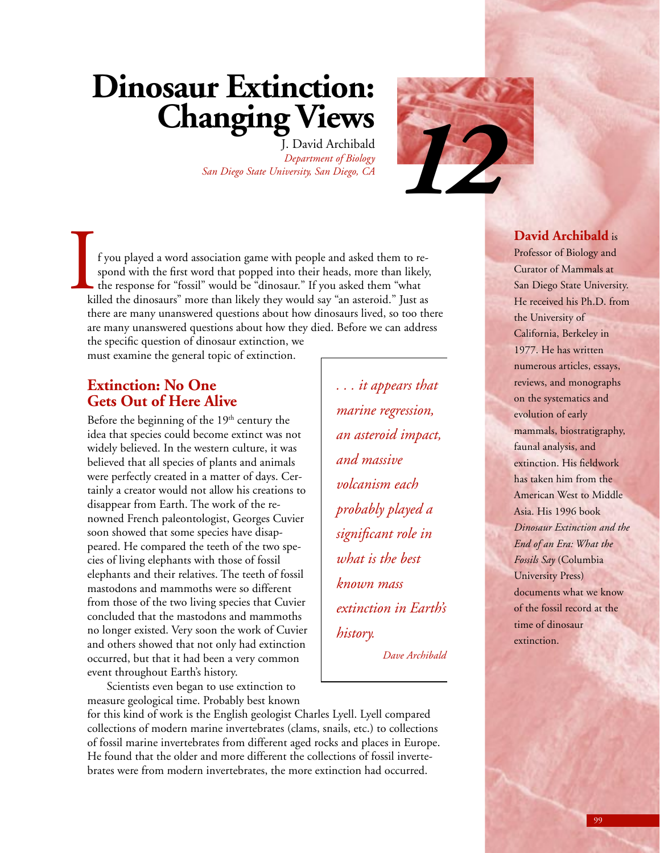# **Dinosaur Extinction: Changing Views**

J. David Archibald *Department of Biology San Diego State University, San Diego, CA*



**1**<br> **I David Archibald** is<br>
tyou played a word association game with people and asked them to re-<br>
professor of Biology and<br>
spond with the first word that popped into their heads, more than likely,<br>
the response for "f f you played a word association game with people and asked them to respond with the first word that popped into their heads, more than likely, the response for "fossil" would be "dinosaur." If you asked them "what killed the dinosaurs" more than likely they would say "an asteroid." Just as there are many unanswered questions about how dinosaurs lived, so too there are many unanswered questions about how they died. Before we can address the specific question of dinosaur extinction, we

must examine the general topic of extinction.

# **Extinction: No One Gets Out of Here Alive**

Before the beginning of the  $19<sup>th</sup>$  century the idea that species could become extinct was not widely believed. In the western culture, it was believed that all species of plants and animals were perfectly created in a matter of days. Certainly a creator would not allow his creations to disappear from Earth. The work of the renowned French paleontologist, Georges Cuvier soon showed that some species have disappeared. He compared the teeth of the two species of living elephants with those of fossil elephants and their relatives. The teeth of fossil mastodons and mammoths were so different from those of the two living species that Cuvier concluded that the mastodons and mammoths no longer existed. Very soon the work of Cuvier and others showed that not only had extinction occurred, but that it had been a very common event throughout Earth's history.

Scientists even began to use extinction to measure geological time. Probably best known

for this kind of work is the English geologist Charles Lyell. Lyell compared collections of modern marine invertebrates (clams, snails, etc.) to collections of fossil marine invertebrates from different aged rocks and places in Europe. He found that the older and more different the collections of fossil invertebrates were from modern invertebrates, the more extinction had occurred.

*. . . it appears that marine regression, an asteroid impact, and massive volcanism each probably played a significant role in what is the best known mass extinction in Earth's history.*

*Dave Archibald*

Professor of Biology and Curator of Mammals at San Diego State University. He received his Ph.D. from the University of California, Berkeley in 1977. He has written numerous articles, essays, reviews, and monographs on the systematics and evolution of early mammals, biostratigraphy, faunal analysis, and extinction. His fieldwork has taken him from the American West to Middle Asia. His 1996 book *Dinosaur Extinction and the End of an Era: What the Fossils Say* (Columbia University Press) documents what we know of the fossil record at the time of dinosaur extinction.

99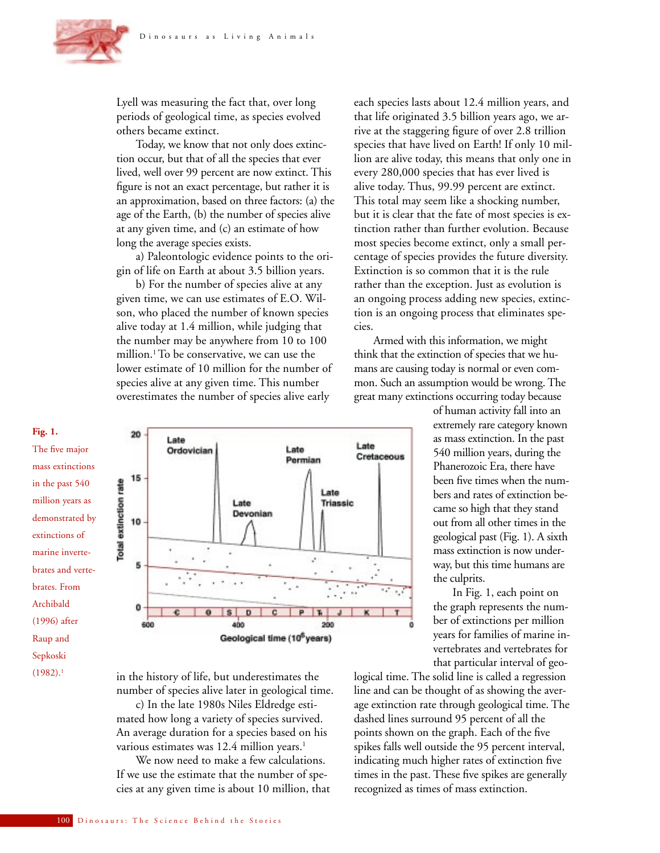

Lyell was measuring the fact that, over long periods of geological time, as species evolved others became extinct.

Today, we know that not only does extinction occur, but that of all the species that ever lived, well over 99 percent are now extinct. This figure is not an exact percentage, but rather it is an approximation, based on three factors: (a) the age of the Earth, (b) the number of species alive at any given time, and (c) an estimate of how long the average species exists.

a) Paleontologic evidence points to the origin of life on Earth at about 3.5 billion years.

b) For the number of species alive at any given time, we can use estimates of E.O. Wilson, who placed the number of known species alive today at 1.4 million, while judging that the number may be anywhere from 10 to 100 million.1 To be conservative, we can use the lower estimate of 10 million for the number of species alive at any given time. This number overestimates the number of species alive early



in the history of life, but underestimates the number of species alive later in geological time.

c) In the late 1980s Niles Eldredge estimated how long a variety of species survived. An average duration for a species based on his various estimates was 12.4 million years.<sup>1</sup>

We now need to make a few calculations. If we use the estimate that the number of species at any given time is about 10 million, that each species lasts about 12.4 million years, and that life originated 3.5 billion years ago, we arrive at the staggering figure of over 2.8 trillion species that have lived on Earth! If only 10 million are alive today, this means that only one in every 280,000 species that has ever lived is alive today. Thus, 99.99 percent are extinct. This total may seem like a shocking number, but it is clear that the fate of most species is extinction rather than further evolution. Because most species become extinct, only a small percentage of species provides the future diversity. Extinction is so common that it is the rule rather than the exception. Just as evolution is an ongoing process adding new species, extinction is an ongoing process that eliminates species.

Armed with this information, we might think that the extinction of species that we humans are causing today is normal or even common. Such an assumption would be wrong. The great many extinctions occurring today because

> of human activity fall into an extremely rare category known as mass extinction. In the past 540 million years, during the Phanerozoic Era, there have been five times when the numbers and rates of extinction became so high that they stand out from all other times in the geological past (Fig. 1). A sixth mass extinction is now underway, but this time humans are the culprits.

In Fig. 1, each point on the graph represents the number of extinctions per million years for families of marine invertebrates and vertebrates for that particular interval of geo-

logical time. The solid line is called a regression line and can be thought of as showing the average extinction rate through geological time. The dashed lines surround 95 percent of all the points shown on the graph. Each of the five spikes falls well outside the 95 percent interval, indicating much higher rates of extinction five times in the past. These five spikes are generally recognized as times of mass extinction.

#### **Fig. 1.**

The five major mass extinctions in the past 540 million years as demonstrated by extinctions of marine invertebrates and vertebrates. From Archibald (1996) after Raup and Sepkoski  $(1982).$ <sup>1</sup>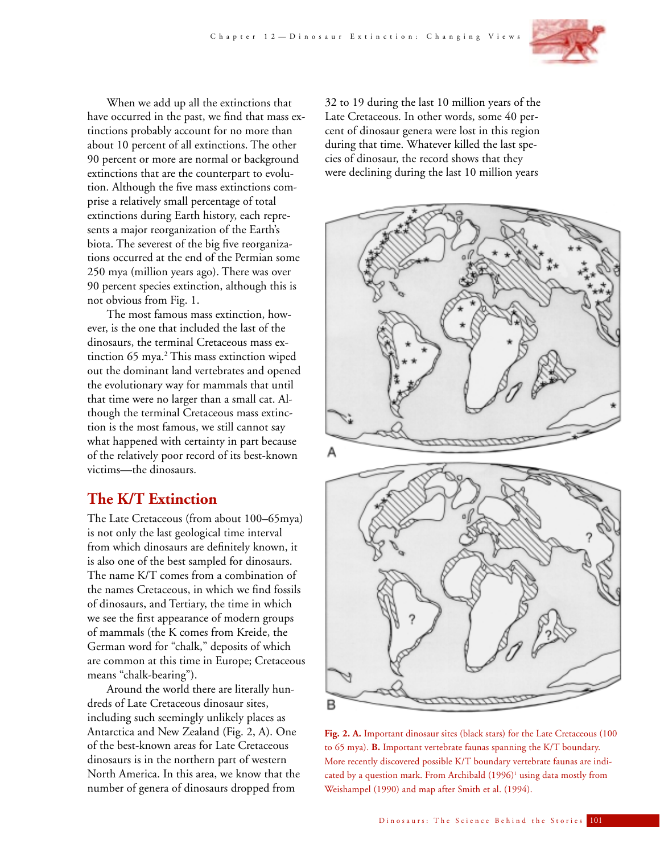

When we add up all the extinctions that have occurred in the past, we find that mass extinctions probably account for no more than about 10 percent of all extinctions. The other 90 percent or more are normal or background extinctions that are the counterpart to evolution. Although the five mass extinctions comprise a relatively small percentage of total extinctions during Earth history, each represents a major reorganization of the Earth's biota. The severest of the big five reorganizations occurred at the end of the Permian some 250 mya (million years ago). There was over 90 percent species extinction, although this is not obvious from Fig. 1.

The most famous mass extinction, however, is the one that included the last of the dinosaurs, the terminal Cretaceous mass extinction 65 mya.<sup>2</sup> This mass extinction wiped out the dominant land vertebrates and opened the evolutionary way for mammals that until that time were no larger than a small cat. Although the terminal Cretaceous mass extinction is the most famous, we still cannot say what happened with certainty in part because of the relatively poor record of its best-known victims—the dinosaurs.

# **The K/T Extinction**

The Late Cretaceous (from about 100–65mya) is not only the last geological time interval from which dinosaurs are definitely known, it is also one of the best sampled for dinosaurs. The name K/T comes from a combination of the names Cretaceous, in which we find fossils of dinosaurs, and Tertiary, the time in which we see the first appearance of modern groups of mammals (the K comes from Kreide, the German word for "chalk," deposits of which are common at this time in Europe; Cretaceous means "chalk-bearing").

Around the world there are literally hundreds of Late Cretaceous dinosaur sites, including such seemingly unlikely places as Antarctica and New Zealand (Fig. 2, A). One of the best-known areas for Late Cretaceous dinosaurs is in the northern part of western North America. In this area, we know that the number of genera of dinosaurs dropped from

32 to 19 during the last 10 million years of the Late Cretaceous. In other words, some 40 percent of dinosaur genera were lost in this region during that time. Whatever killed the last species of dinosaur, the record shows that they were declining during the last 10 million years



**Fig. 2. A.** Important dinosaur sites (black stars) for the Late Cretaceous (100 to 65 mya). **B.** Important vertebrate faunas spanning the K/T boundary. More recently discovered possible K/T boundary vertebrate faunas are indicated by a question mark. From Archibald (1996)<sup>1</sup> using data mostly from Weishampel (1990) and map after Smith et al. (1994).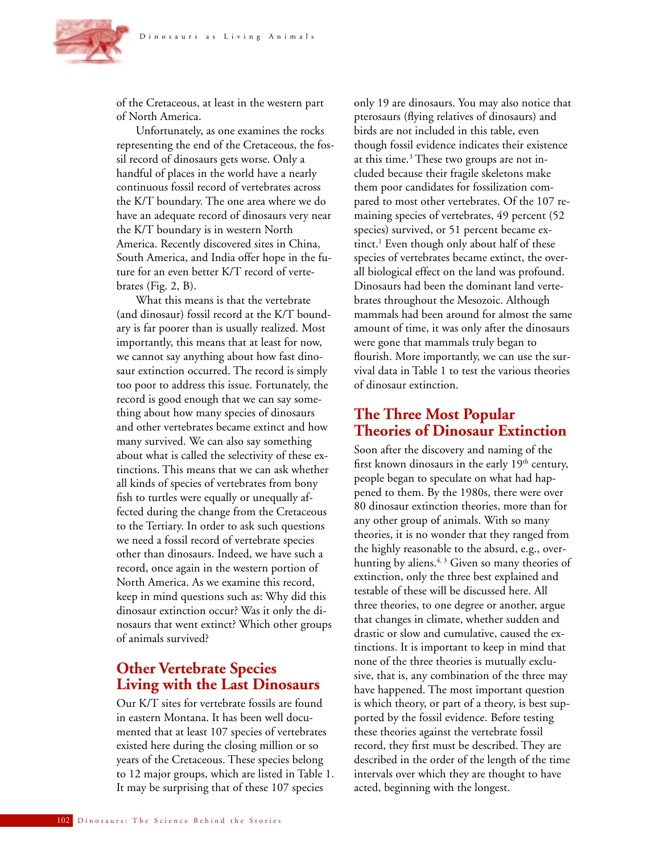

of the Cretaceous, at least in the western part of North America.

Unfortunately, as one examines the rocks representing the end of the Cretaceous, the fossil record of dinosaurs gets worse. Only a handful of places in the world have a nearly continuous fossil record of vertebrates across the K/T boundary. The one area where we do have an adequate record of dinosaurs very near the K/T boundary is in western North America. Recently discovered sites in China, South America, and India offer hope in the future for an even better K/T record of vertebrates (Fig. 2, B).

What this means is that the vertebrate (and dinosaur) fossil record at the K/T boundary is far poorer than is usually realized. Most importantly, this means that at least for now, we cannot say anything about how fast dinosaur extinction occurred. The record is simply too poor to address this issue. Fortunately, the record is good enough that we can say something about how many species of dinosaurs and other vertebrates became extinct and how many survived. We can also say something about what is called the selectivity of these extinctions. This means that we can ask whether all kinds of species of vertebrates from bony fish to turtles were equally or unequally affected during the change from the Cretaceous to the Tertiary. In order to ask such questions we need a fossil record of vertebrate species other than dinosaurs. Indeed, we have such a record, once again in the western portion of North America. As we examine this record, keep in mind questions such as: Why did this dinosaur extinction occur? Was it only the dinosaurs that went extinct? Which other groups of animals survived?

# **Other Vertebrate Species Living with the Last Dinosaurs**

Our K/T sites for vertebrate fossils are found in eastern Montana. It has been well documented that at least 107 species of vertebrates existed here during the closing million or so years of the Cretaceous. These species belong to 12 major groups, which are listed in Table 1. It may be surprising that of these 107 species

only 19 are dinosaurs. You may also notice that pterosaurs (flying relatives of dinosaurs) and birds are not included in this table, even though fossil evidence indicates their existence at this time.<sup>3</sup> These two groups are not included because their fragile skeletons make them poor candidates for fossilization compared to most other vertebrates. Of the 107 remaining species of vertebrates, 49 percent (52 species) survived, or 51 percent became extinct.<sup>1</sup> Even though only about half of these species of vertebrates became extinct, the overall biological effect on the land was profound. Dinosaurs had been the dominant land vertebrates throughout the Mesozoic. Although mammals had been around for almost the same amount of time, it was only after the dinosaurs were gone that mammals truly began to flourish. More importantly, we can use the survival data in Table 1 to test the various theories of dinosaur extinction.

## **The Three Most Popular Theories of Dinosaur Extinction**

Soon after the discovery and naming of the first known dinosaurs in the early  $19<sup>th</sup>$  century, people began to speculate on what had happened to them. By the 1980s, there were over 80 dinosaur extinction theories, more than for any other group of animals. With so many theories, it is no wonder that they ranged from the highly reasonable to the absurd, e.g., overhunting by aliens.<sup>4, 3</sup> Given so many theories of extinction, only the three best explained and testable of these will be discussed here. All three theories, to one degree or another, argue that changes in climate, whether sudden and drastic or slow and cumulative, caused the extinctions. It is important to keep in mind that none of the three theories is mutually exclusive, that is, any combination of the three may have happened. The most important question is which theory, or part of a theory, is best supported by the fossil evidence. Before testing these theories against the vertebrate fossil record, they first must be described. They are described in the order of the length of the time intervals over which they are thought to have acted, beginning with the longest.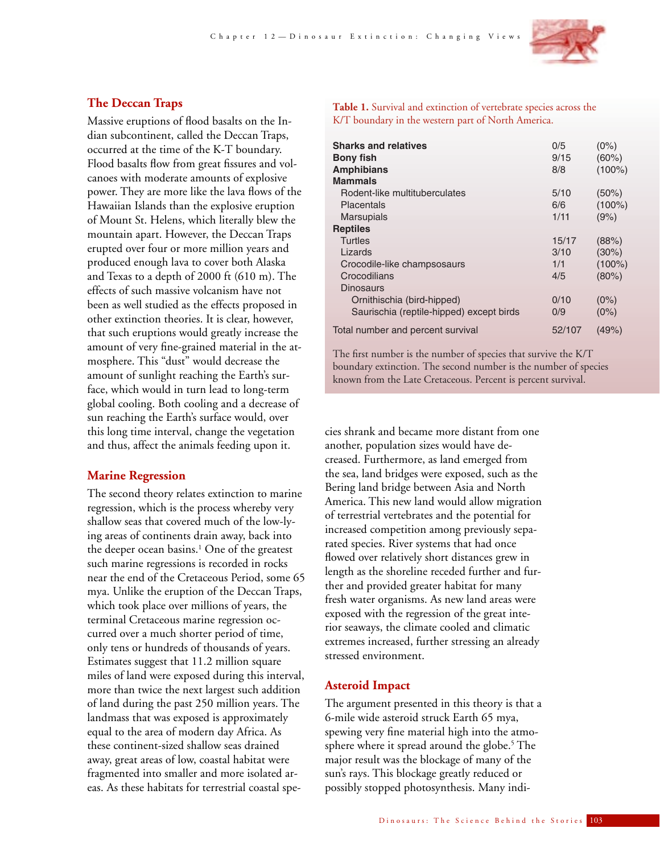

#### **The Deccan Traps**

Massive eruptions of flood basalts on the Indian subcontinent, called the Deccan Traps, occurred at the time of the K-T boundary. Flood basalts flow from great fissures and volcanoes with moderate amounts of explosive power. They are more like the lava flows of the Hawaiian Islands than the explosive eruption of Mount St. Helens, which literally blew the mountain apart. However, the Deccan Traps erupted over four or more million years and produced enough lava to cover both Alaska and Texas to a depth of 2000 ft (610 m). The effects of such massive volcanism have not been as well studied as the effects proposed in other extinction theories. It is clear, however, that such eruptions would greatly increase the amount of very fine-grained material in the atmosphere. This "dust" would decrease the amount of sunlight reaching the Earth's surface, which would in turn lead to long-term global cooling. Both cooling and a decrease of sun reaching the Earth's surface would, over this long time interval, change the vegetation and thus, affect the animals feeding upon it.

#### **Marine Regression**

The second theory relates extinction to marine regression, which is the process whereby very shallow seas that covered much of the low-lying areas of continents drain away, back into the deeper ocean basins.<sup>1</sup> One of the greatest such marine regressions is recorded in rocks near the end of the Cretaceous Period, some 65 mya. Unlike the eruption of the Deccan Traps, which took place over millions of years, the terminal Cretaceous marine regression occurred over a much shorter period of time, only tens or hundreds of thousands of years. Estimates suggest that 11.2 million square miles of land were exposed during this interval, more than twice the next largest such addition of land during the past 250 million years. The landmass that was exposed is approximately equal to the area of modern day Africa. As these continent-sized shallow seas drained away, great areas of low, coastal habitat were fragmented into smaller and more isolated areas. As these habitats for terrestrial coastal spe-

#### **Table 1.** Survival and extinction of vertebrate species across the K/T boundary in the western part of North America.

| <b>Sharks and relatives</b>              | 0/5    | $(0\%)$   |
|------------------------------------------|--------|-----------|
| <b>Bony fish</b>                         | 9/15   | $(60\%)$  |
| <b>Amphibians</b>                        | 8/8    | $(100\%)$ |
| <b>Mammals</b>                           |        |           |
| Rodent-like multituberculates            | 5/10   | $(50\%)$  |
| Placentals                               | 6/6    | $(100\%)$ |
| <b>Marsupials</b>                        | 1/11   | (9%)      |
| <b>Reptiles</b>                          |        |           |
| <b>Turtles</b>                           | 15/17  | (88%)     |
| Lizards                                  | 3/10   | $(30\%)$  |
| Crocodile-like champsosaurs              | 1/1    | $(100\%)$ |
| Crocodilians                             | 4/5    | $(80\%)$  |
| Dinosaurs                                |        |           |
| Ornithischia (bird-hipped)               | 0/10   | $(0\%)$   |
| Saurischia (reptile-hipped) except birds | 0/9    | $(0\%)$   |
| Total number and percent survival        | 52/107 | (49%)     |

The first number is the number of species that survive the K/T boundary extinction. The second number is the number of species known from the Late Cretaceous. Percent is percent survival.

cies shrank and became more distant from one another, population sizes would have decreased. Furthermore, as land emerged from the sea, land bridges were exposed, such as the Bering land bridge between Asia and North America. This new land would allow migration of terrestrial vertebrates and the potential for increased competition among previously separated species. River systems that had once flowed over relatively short distances grew in length as the shoreline receded further and further and provided greater habitat for many fresh water organisms. As new land areas were exposed with the regression of the great interior seaways, the climate cooled and climatic extremes increased, further stressing an already stressed environment.

#### **Asteroid Impact**

The argument presented in this theory is that a 6-mile wide asteroid struck Earth 65 mya, spewing very fine material high into the atmosphere where it spread around the globe.<sup>5</sup> The major result was the blockage of many of the sun's rays. This blockage greatly reduced or possibly stopped photosynthesis. Many indi-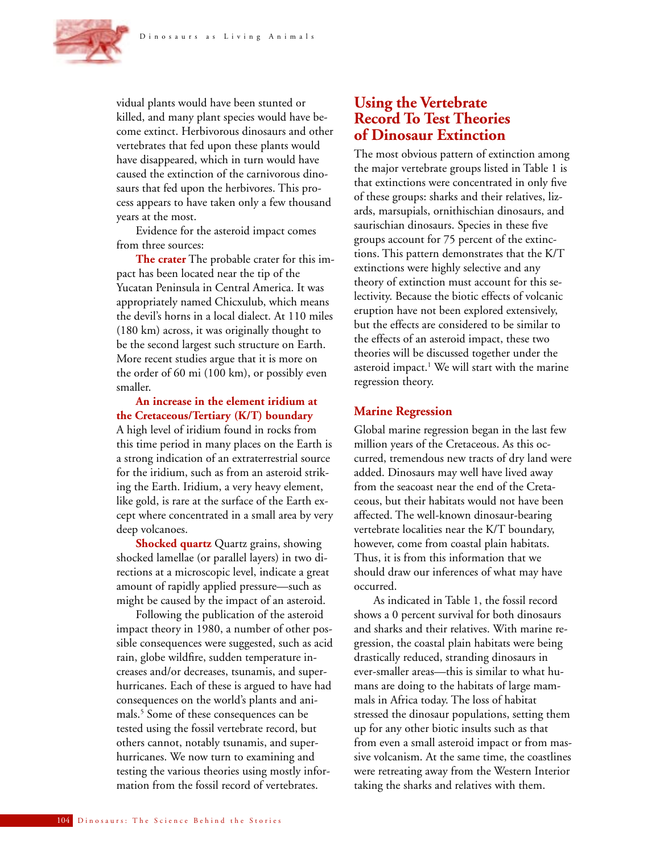

vidual plants would have been stunted or killed, and many plant species would have become extinct. Herbivorous dinosaurs and other vertebrates that fed upon these plants would have disappeared, which in turn would have caused the extinction of the carnivorous dinosaurs that fed upon the herbivores. This process appears to have taken only a few thousand years at the most.

Evidence for the asteroid impact comes from three sources:

**The crater** The probable crater for this impact has been located near the tip of the Yucatan Peninsula in Central America. It was appropriately named Chicxulub, which means the devil's horns in a local dialect. At 110 miles (180 km) across, it was originally thought to be the second largest such structure on Earth. More recent studies argue that it is more on the order of 60 mi (100 km), or possibly even smaller.

#### **An increase in the element iridium at the Cretaceous/Tertiary (K/T) boundary**

A high level of iridium found in rocks from this time period in many places on the Earth is a strong indication of an extraterrestrial source for the iridium, such as from an asteroid striking the Earth. Iridium, a very heavy element, like gold, is rare at the surface of the Earth except where concentrated in a small area by very deep volcanoes.

**Shocked quartz** Quartz grains, showing shocked lamellae (or parallel layers) in two directions at a microscopic level, indicate a great amount of rapidly applied pressure—such as might be caused by the impact of an asteroid.

Following the publication of the asteroid impact theory in 1980, a number of other possible consequences were suggested, such as acid rain, globe wildfire, sudden temperature increases and/or decreases, tsunamis, and superhurricanes. Each of these is argued to have had consequences on the world's plants and animals.5 Some of these consequences can be tested using the fossil vertebrate record, but others cannot, notably tsunamis, and superhurricanes. We now turn to examining and testing the various theories using mostly information from the fossil record of vertebrates.

# **Using the Vertebrate Record To Test Theories of Dinosaur Extinction**

The most obvious pattern of extinction among the major vertebrate groups listed in Table 1 is that extinctions were concentrated in only five of these groups: sharks and their relatives, lizards, marsupials, ornithischian dinosaurs, and saurischian dinosaurs. Species in these five groups account for 75 percent of the extinctions. This pattern demonstrates that the K/T extinctions were highly selective and any theory of extinction must account for this selectivity. Because the biotic effects of volcanic eruption have not been explored extensively, but the effects are considered to be similar to the effects of an asteroid impact, these two theories will be discussed together under the asteroid impact.<sup>1</sup> We will start with the marine regression theory.

#### **Marine Regression**

Global marine regression began in the last few million years of the Cretaceous. As this occurred, tremendous new tracts of dry land were added. Dinosaurs may well have lived away from the seacoast near the end of the Cretaceous, but their habitats would not have been affected. The well-known dinosaur-bearing vertebrate localities near the K/T boundary, however, come from coastal plain habitats. Thus, it is from this information that we should draw our inferences of what may have occurred.

As indicated in Table 1, the fossil record shows a 0 percent survival for both dinosaurs and sharks and their relatives. With marine regression, the coastal plain habitats were being drastically reduced, stranding dinosaurs in ever-smaller areas—this is similar to what humans are doing to the habitats of large mammals in Africa today. The loss of habitat stressed the dinosaur populations, setting them up for any other biotic insults such as that from even a small asteroid impact or from massive volcanism. At the same time, the coastlines were retreating away from the Western Interior taking the sharks and relatives with them.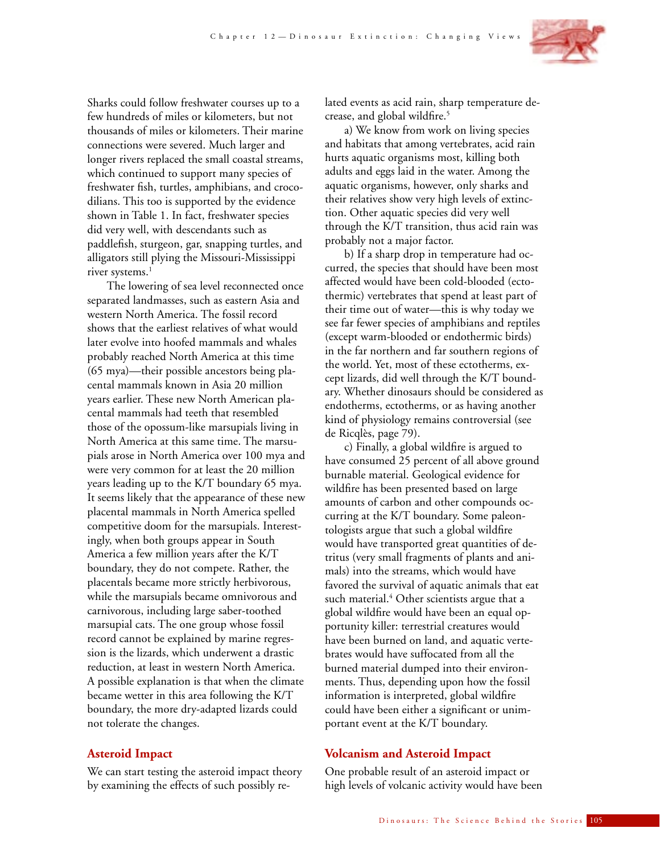

Sharks could follow freshwater courses up to a few hundreds of miles or kilometers, but not thousands of miles or kilometers. Their marine connections were severed. Much larger and longer rivers replaced the small coastal streams, which continued to support many species of freshwater fish, turtles, amphibians, and crocodilians. This too is supported by the evidence shown in Table 1. In fact, freshwater species did very well, with descendants such as paddlefish, sturgeon, gar, snapping turtles, and alligators still plying the Missouri-Mississippi river systems.<sup>1</sup>

The lowering of sea level reconnected once separated landmasses, such as eastern Asia and western North America. The fossil record shows that the earliest relatives of what would later evolve into hoofed mammals and whales probably reached North America at this time (65 mya)—their possible ancestors being placental mammals known in Asia 20 million years earlier. These new North American placental mammals had teeth that resembled those of the opossum-like marsupials living in North America at this same time. The marsupials arose in North America over 100 mya and were very common for at least the 20 million years leading up to the K/T boundary 65 mya. It seems likely that the appearance of these new placental mammals in North America spelled competitive doom for the marsupials. Interestingly, when both groups appear in South America a few million years after the K/T boundary, they do not compete. Rather, the placentals became more strictly herbivorous, while the marsupials became omnivorous and carnivorous, including large saber-toothed marsupial cats. The one group whose fossil record cannot be explained by marine regression is the lizards, which underwent a drastic reduction, at least in western North America. A possible explanation is that when the climate became wetter in this area following the K/T boundary, the more dry-adapted lizards could not tolerate the changes.

#### **Asteroid Impact**

We can start testing the asteroid impact theory by examining the effects of such possibly related events as acid rain, sharp temperature decrease, and global wildfire.5

a) We know from work on living species and habitats that among vertebrates, acid rain hurts aquatic organisms most, killing both adults and eggs laid in the water. Among the aquatic organisms, however, only sharks and their relatives show very high levels of extinction. Other aquatic species did very well through the K/T transition, thus acid rain was probably not a major factor.

b) If a sharp drop in temperature had occurred, the species that should have been most affected would have been cold-blooded (ectothermic) vertebrates that spend at least part of their time out of water—this is why today we see far fewer species of amphibians and reptiles (except warm-blooded or endothermic birds) in the far northern and far southern regions of the world. Yet, most of these ectotherms, except lizards, did well through the K/T boundary. Whether dinosaurs should be considered as endotherms, ectotherms, or as having another kind of physiology remains controversial (see de Ricqlès, page 79).

c) Finally, a global wildfire is argued to have consumed 25 percent of all above ground burnable material. Geological evidence for wildfire has been presented based on large amounts of carbon and other compounds occurring at the K/T boundary. Some paleontologists argue that such a global wildfire would have transported great quantities of detritus (very small fragments of plants and animals) into the streams, which would have favored the survival of aquatic animals that eat such material.<sup>4</sup> Other scientists argue that a global wildfire would have been an equal opportunity killer: terrestrial creatures would have been burned on land, and aquatic vertebrates would have suffocated from all the burned material dumped into their environments. Thus, depending upon how the fossil information is interpreted, global wildfire could have been either a significant or unimportant event at the K/T boundary.

#### **Volcanism and Asteroid Impact**

One probable result of an asteroid impact or high levels of volcanic activity would have been